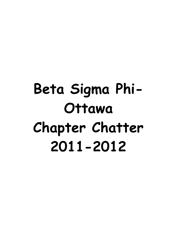# **Beta Sigma Phi-Ottawa Chapter Chatter 2011-2012**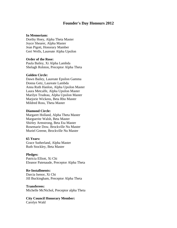#### **Founder's Day Honours 2012**

#### **In Memoriam:**

Dorthy Hoey, Alpha Theta Master Joyce Shearer, Alpha Master Jean Pigott, Honorary Mamber Geri Wells, Laureate Alpha Upsilon

#### **Order of the Rose:**

Paula Bailey, Xi Alpha Lambda Shelagh Rolston, Preceptor Alpha Theta

#### **Golden Circle:**

Dawn Bailey, Laureate Epsilon Gamma Donna Getz, Laureate Lambda Anna Ruth Hanlon, Alpha Upsilon Master Laura Metcalfe, Alpha Upsilon Master Marilyn Trudeau, Alpha Upsilon Master Marjorie Wickens, Beta Rho Master Mildred Ross, Theta Master

#### **Diamond Circle:**

Margaret Holland, Alpha Theta Master Marguerite Walsh, Beta Master Shirley Armstrong, Beta Eta Master Rosemarie Dow, Brockville Nu Master Muriel Greene, Brockville Nu Master

#### **65 Years:**

Grace Sutherland, Alpha Master Ruth Stockley, Beta Master

#### **Pledges:**

Patricia Elliott, Xi Chi Eleanor Patenaude, Preceptor Alpha Theta

#### **Re-Installments:**

Darcia Isenor, Xi Chi Jill Buckingham, Preceptor Alpha Theta

#### **Transferees:**

Michelle McNichol, Preceptor alpha Theta

#### **City Council Honorary Member:**

Carolyn Wald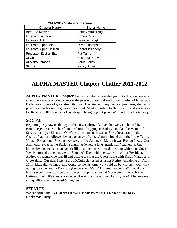| LUI LUIL UIJIGIJ UI LIIG TUUI |                          |
|-------------------------------|--------------------------|
| <b>Chapter Name</b>           | <b>Sister Name</b>       |
| <b>Beta Eta Master</b>        | <b>Shirley Armstrong</b> |
| Laureate Lambda               | Donna Getz               |
| Laureate Phi                  | Lorraine Langill         |
| Laureate Alpha Iota           | Olivia Thompson          |
| Laureate Alpha Upsilon        | Cherolyn Landry          |
| Preceptor Epsilon Eta         | Pat Turner               |
| XI Chi                        | <b>Susan McKeever</b>    |
| Xi Alpha Lambda               | Paula Bailey             |
| Sigma                         | Nancy Jones              |

#### **2011-2012 Sisters of the Year**

### **ALPHA MASTER Chapter Chatter 2011-2012**

**ALPHA MASTER Chapter** has had another successful year. As this one comes to an end, we are devastated to report the passing of our beloved Sister, Barbara McCulloch. Barb was a source of great strength to us. Despite her many medical problems, she kept a positive attitude - nothing was impossible! Most important to Barb was that she was able to attend our 80th Founder's Day, despite being in great pain. We shall miss her terribly.

#### **SOCIAL**

Beginning Day saw us dining at The New Dubrovnik. October we were hosted by Bonnie Bjerke; November found us brown-bagging at Audrey's to plan the Memorial Service for Joyce Shearer. Our Christmas luncheon was at Zoe's Restaurant in the Chateau Laurier, followed by an exchange of gifts. January found us at the Little Turkish Village Restaurant. February we were off to Capone's. March it was Boston Pizza. Our April outing was at the Buffet Yangming (where a lone "gentleman" sat near us but hidden by a palm tree managed to fill up at the buffet then slipped out without paying)! We also turned out en masse for Founder's Day, with the exception of our President, Audrey Couzens, who was ill and unable to sit at the Guest Table with Karen Waldo and Grete Hale. Our dear Sister Barb McCulloch hosted us at her Retirement Home on April 25th. Little did we know this would be the last time we would all be with her. Our May outing is to the new IKEA store (I understand it's a 5 km. treck to get out!). And our tradition continues to have our June Wind-up Luncheon at Madeleine Haynes' home in Gatineau East. It's always a wonderful way to close out our Sorority year! I believe we still qualify as active *social butterflies***!**

#### **SERVICE**

We supported the **INTERNATIONAL ENDOWMENT FUND** and the **M.S. Christmas Party.**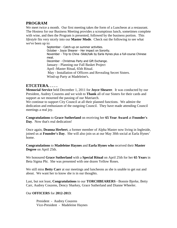#### **PROGRAM**

We meet twice a month. Our first meeting takes the form of a Luncheon at a restaurant. The Hostess for our Business Meeting provides a scrumptious lunch, sometimes complete with wine, and then the Program is presented, followed by the business portion. This *lifestyle* fits very nicely into our **Master Mode**. Check out the following to see what we've been up to:

September - Catch-up on summer activities. October - Joyce Shearer - Her impact on Sorority. November - Trip to China -Slide/talk by Earla Hynes plus a full-course Chinese meal. December - Christmas Party and Gift Exchange. January - Planning our Fall Basket Project April -Master Ritual, 65th Ritual. May - Installation of Officers and Revealing Secret Sisters. Wind-up Party at Madeleine's.

#### **ETCETERA. . . . .**

**Memorial Service** held December 1, 2011 for **Joyce Shearer**. It was conducted by our President, Audrey Couzens and we wish to **Thank** all of our Sisters for their cards and support as we mourned the passing of our Matriarch.

We continue to support City Council at all their planned functions. We admire the dedication and enthusiasm of the outgoing Council. They have made attending Council meetings a real joy.

**Congratulations** to **Grace Sutherland** on receiving her **65 Year Award** at **Founder's Day**. Now that's real dedication!

Once again, **Deanna Herbert**, a former member of Alpha Master now living in Ingleside, joined us at **Founder's Day**. She will also join us at our May 30th social at Earla Hynes' home.

**Congratulations** to **Madeleine Haynes** and **Earla Hynes who** received their **Master Degree** on April 25th.

We honoured **Grace Sutherland** with a **Special Ritual** on April 25th for her **65 Years** in Beta Sigma Phi. She was presented with one dozen Yellow Roses.

We still miss **Betty Carr** at our meetings and luncheons as she is unable to get out and about. We want her to know she is in our thoughts.

Last, but not least, **Congratulations** to our **TORCHBEARERS** - Bonnie Bjerke, Betty Carr, Audrey Couzens, Dency Sharkey, Grace Sutherland and Dianne Wheeler.

#### Our **OFFICERS** for **2012-2013**:

President - Audrey Couzens Vice-President - Madeleine Haynes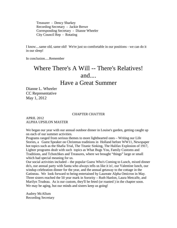Treasurer - Dency Sharkey Recording Secretary - Jackie Brewe Corresponding Secretary - Dianne Wheeler City Council Rep - Rotating

I know....same old, same old! We're just so comfortable in our positions - we can do it in our sleep!

In conclusion.....Remember

## Where There's A Will -- There's Relatives! and...

Have a Great Summer

Dianne L. Wheeler CC Representative May 1, 2012

#### CHAPTER CHATTER

APRIL 2012 ALPHA UPSILON MASTER

We began our year with our annual outdoor dinner in Louise's garden, getting caught up on each of our summer activities.

Programs ranged from serious themes to more lighthearted ones – Writing our Life Stories, a Guest Speaker on Christmas traditions in Holland before WW11, Newspaper hot topics such as the Shafia Trial, The Titanic Sinking, The Halifax Explosion of 1917, Lighter programs dealt with such topics as What Bugs You, Family Customs and Traditions, and Tchotchkes and Treasures, where we brought "things" large or small which had special meaning for us.

Our social activities included – the popular Guess Who's Coming to Lunch, mixed dinner do's, our annual party with Santa who always tells us like it is!, our Valentine lunch, our windup celebration dinner for the year, and the annual getaway to the cottage in the Gatineau. We look forward to being entertained by Laureate Alpha Omicron in May. Three sisters reached the 50 year mark in Sorority – Ruth Hanlon, Laura Metcalfe, and Marilyn Trudeau. As is our custom, they'll be feted (or roasted ) in the chapter soon. We may be aging, but our minds and sisters keep us going!

Audrey McAllum Recording Secretary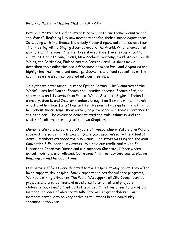#### Beta Rho Master - Chapter Chatter 2011/2012

Beta Rho Master has had an interesting year with our theme "Countries of the World". Beginning Day saw members sharing their summer experiences. In keeping with the theme, the Greely Player Singers entertained us at our first meeting with a Singing Journey around the World. What a wonderful way to start the year. Our members shared their travel experiences to countries such as Spain, Poland, New Zealand, Germany, Saudi Arabia, South Wales, the Baltic Sea, Finland and the Panama Canal. A short movie described the similarities and differences between Peru and Argentina and highlighted their music and dancing. Souvenirs and food specialties of the countries were also incorporated into our meetings.

This year we entertained Laureate Epsilon Gamma. The "Countries of the World" lunch had Danish, French and Canadian cheeses, French pâté, tea sandwiches and desserts from Poland, Wales, Scotland, England, Ireland and Germany. Guests and Chapter members brought an item from their travels or cultural heritage for a Show and Tell session. It was quite interesting to hear about these items, their history or provenance and their importance to the beholder. The exchange demonstrated the multi ethnicity and the wealth of cultural knowledge of our two Chapters.

Marjorie Wickens celebrated 50 years of membership in Beta Sigma Phi and received the Golden Circle award. Diane Daka progressed to the Ritual of Jewel. Members attended the City Council Christmas Meeting and the Mini Convention & Founder's Day events. We held our traditional mixed Fall Dinner and Christmas Dinner and our members Christmas Dinner where annual traditions are followed. Our Games Night in February saw us playing Bananagram and Mexican Train.

Our Service efforts were directed to the Hospice at May Court; they offer home support, day hospice, family support and residential care programs, We had clothing drives for The Well. We support all City Council service projects and provide financial assistance to International projects. Children's books and a fruit basket provided Christmas cheer to one of our members on leave of absence to take care of her grandchildren. Our members continue to be very active as volunteers in the community throughout the year.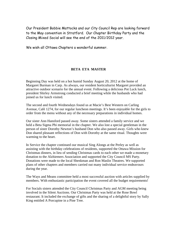Our President Bobbie Mattocks and our City Council Rep are looking forward to the May convention in Stratford. Our Chapter Birthday Party and the Closing Mixed Social will see the end of the 2011/2012 year.

We wish all Ottawa Chapters a wonderful summer.

#### **BETA ETA MASTER**

Beginning Day was held on a hot humid Sunday August 20, 2012 at the home of Margaret Burman in Carp. As always, our resident horticulturist Margaret provided an attractive outdoor scenario for the annual event. Following a delicious Pot Luck lunch, president Shirley Armstrong conducted a brief meeting while the husbands who had joined us for lunch visited.

The second and fourth Wednesdays found us at Macie's Best Western on Carling Avenue, Café 1274, for our regular luncheon meetings. It's been enjoyable for the girls to order from the menu without any of the necessary preparations in individual homes.

Our sister Ann Hansford passed away. Some sisters attended a family service and we held a Beta Sigma Phi memorial in the chapter. We also lost a special gentleman in the person of sister Dorothy Newton's husband Don who also passed away. Girls who knew Don shared pleasant reflections of Don with Dorothy at the same ritual. Thoughts were warming to the heart.

In Service the chapter continued our musical Sing Alongs at the Perley as well as assisting with the birthday celebrations of residents, supported the Ottawa Mission for Christmas dinners, in lieu of sending Christmas cards to each other we made a monetary donation to the Alzhiemers Association and supported the City Council MS Party. Donations were made to the local Shenkman and Ron Maslin Theatres. We supported plans of other chapters and members carried out many individual service endeavours during the year.

The Ways and Means committee held a most successful auction with articles supplied by members. With enthusiastic participation the event covered all the budget requirements!

For Socials sisters attended the City Council Christmas Party and AGM meeting being involved in the Silent Auctions. Our Christmas Party was held at the Rose Bowl restaurant. It included the exchange of gifts and the sharing of a delightful story by Sally King entitled A Porcupine in a Pine Tree.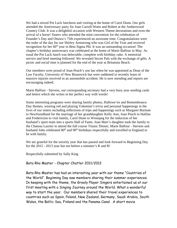We had a mixed Pot Luck luncheon and visiting at the home of Carol Dunn. Our girls attended the Anniversary party for Joan Carroll-Watts and Robert at the Amberwood Country Club. It was a delightful occasion with Western Theme decorations and even the arrival of a horse! Sisters who attended the mini convention for the celebration of Founder's Day and Ottawa's 75th experienced an awesome time. Congratulations were the order of the day for our Shirley Armstrong who was Girl of the Year and received recognition for her  $60<sup>th</sup>$  year in Beta Sigma Phi. It was an outstanding occasion! The chapter's birthday anniversary was celebrated at the home of Marie Balfour in May. As usual the Pot Luck lunch was delectable, complete with birthday cake. A memorial service and brief meeting followed. We revealed Secret Pals with the exchange of gifts. A picnic and social time is planned for the end of the year at Britannia Beach.

Our members were proud of Joan Peach's son Ian when he was appointed as Dean of the Law Faculty, University of New Brunswick but were saddened to recently learn of massive injuries received in an automobile accident. He is now mending and reports are encouraging indeed.

Marie Balfour - Stevens, our corresponding secretary had a very busy year sending cards and letters which she writes in her perfect way with words!

Some interesting programs were sharing family photos, Hallowe'en and Remembrance Day themes, wearing red and playing Valentine's trivia and personal happenings in the lives of our sisters including reflections of trips and happenings such as Margaret Burman to Newfoundland for the marriage of her granddaughter Kelly Ann, Joan Peach to Halifax and Fredericton to visit family, Carol Dunn to Winnipeg for the induction of her husband's sport team into a sports Hall of Fame, Joan Marr's daughter took the family to the Chateau Laurier to attend the full course Titanic Dinner, Marie Balfour - Stevens and husband John celebrated 80<sup>th</sup> and 90<sup>th</sup> birthdays respectfully and travelled to England to be with family.

We are grateful for the sorority year that has passed and look forward to Beginning Day for the 2012 - 2013 year but not before a summer's R and R!

Respectfully submitted by Sally King

#### Beta Rho Master - Chapter Chatter 2011/2012

Beta Rho Master has had an interesting year with our theme "Countries of the World". Beginning Day saw members sharing their summer experiences. In keeping with the theme, the Greely Player Singers entertained us at our first meeting with a Singing Journey around the World. What a wonderful way to start the year. Our members shared their travel experiences to countries such as Spain, Poland, New Zealand, Germany, Saudi Arabia, South Wales, the Baltic Sea, Finland and the Panama Canal. A short movie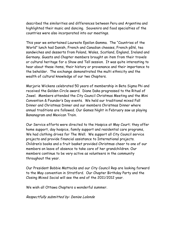described the similarities and differences between Peru and Argentina and highlighted their music and dancing. Souvenirs and food specialties of the countries were also incorporated into our meetings.

This year we entertained Laureate Epsilon Gamma. The "Countries of the World" lunch had Danish, French and Canadian cheeses, French pâté, tea sandwiches and desserts from Poland, Wales, Scotland, England, Ireland and Germany. Guests and Chapter members brought an item from their travels or cultural heritage for a Show and Tell session. It was quite interesting to hear about these items, their history or provenance and their importance to the beholder. The exchange demonstrated the multi ethnicity and the wealth of cultural knowledge of our two Chapters.

Marjorie Wickens celebrated 50 years of membership in Beta Sigma Phi and received the Golden Circle award. Diane Daka progressed to the Ritual of Jewel. Members attended the City Council Christmas Meeting and the Mini Convention & Founder's Day events. We held our traditional mixed Fall Dinner and Christmas Dinner and our members Christmas Dinner where annual traditions are followed. Our Games Night in February saw us playing Bananagram and Mexican Train.

Our Service efforts were directed to the Hospice at May Court; they offer home support, day hospice, family support and residential care programs, We had clothing drives for The Well. We support all City Council service projects and provide financial assistance to International projects. Children's books and a fruit basket provided Christmas cheer to one of our members on leave of absence to take care of her grandchildren. Our members continue to be very active as volunteers in the community throughout the year.

Our President Bobbie Mattocks and our City Council Rep are looking forward to the May convention in Stratford. Our Chapter Birthday Party and the Closing Mixed Social will see the end of the 2011/2012 year.

We wish all Ottawa Chapters a wonderful summer.

Respectfully submitted by: Denise Lalonde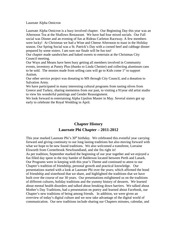Laureate Alpha Omicron

Laureate Alpha Omicron is a busy involved chapter. Our Beginning Day this year was an Afternoon Tea at the Shallows Restaurant. We have had four mixed socials. Our Fall social was Dinner and an evening of fun at Rideau Carleton Raceway. A few members were lucky! At Christmas we had a Wine and Cheese Afternoon to toast in the Holiday season. Our Spring Social was a St. Patrick's Day with a corned beef and cabbage dinner prepared by some sisters. I am sure our finale will be fun too!

Our chapter made sandwiches and baked sweets to entertain at the Christmas City Council meeting.

Our Ways and Means have been busy getting all members involved in Community events, inventory at Pantry Plus (thanks to Linda Chenier) and collecting aluminum cans to be sold. The monies made from selling cans will go to Kids come  $1<sup>st</sup>$  to support Autism.

Our other service project was donating to MS through City Council, and a donation to Salvation Army.

We have participated in many interesting cultural programs from tasting olives from Greece and Turkey, sharing mementos from our past, to visiting a 91year old artist studio to view his wonderful paintings and Gender Reassignment.

We look forward to entertaining Alpha Upsilon Master in May. Several sisters got up early to celebrate the Royal Wedding in April.

#### **Chapter History Laureate Phi Chapter – 2011-2012**

This year marked Laureate Phi's 30<sup>th</sup> birthday. We celebrated this eventful year carrying forward and giving continuity to our long lasting traditions but also moving forward with what we hope to be new found traditions. We also welcomed a transferee, Lorraine Elsworth from Cornerbrook Newfoundland, and she fits right in!

As per tradition, September marked the beginning of our year together and we enjoyed a fun filled day spent in the tiny hamlet of Balderson located between Perth and Lanark. Our Programs were in keeping with this year's Theme and continued to attest to our Chapter's tradition of friendship, personal growth and practical knowledge. Our presentations started with a look at Laureate Phi over the years; which affirmed the bond of friendship and sisterhood that we share, and highlighted the traditions that we have built over the course of our 30 years. Our presentations enlightened us on the traditions of different cultures, holiday traditions and the yummy history of desserts. We learned about mental health disorders and talked about breaking down barriers. We talked about Mother's Day Traditions, had a presentation on poetry and learned about Facebook, our Chapter's new traditions of being among friends. In addition, we were given an overview of today's digital culture and we now take advantage of the digital world of communication. Our new traditions include sharing our Chapters minutes, calendar, and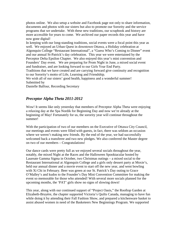photos online. We also setup a website and Facebook page not only to share information, documents and photos with our sisters but also to promote our Sorority and the service programs that we undertake. With these new traditions, our scrapbook and history are more accessible for years to come. We archived our paper records this year and have now gone digital!

In keeping with our long-standing traditions, social events were a focal point this year as well. We enjoyed an Urban Quest in downtown Ottawa, a Holiday celebration at Algonquin College "Restaurant International", a "Guess Who's Coming to Dinner" event and our annual St-Patrick's day celebration. This year we were entertained by the Perceptor Delta Epsilon Chapter. We also enjoyed this year's mini convention and Founders' Day event. We are preparing for Prom Night in June, a mixed social event and fundraiser, and are looking forward to our Girls Year End Party.

Traditions that we have created and are carrying forward give continuity and recognition to our Sorority's motto of Life, Learning and Friendship.

We wish all of our sisters' good health, happiness and a wonderful summer! Submitted by

Danielle Balfour, Recording Secretary

#### *Preceptor Alpha Theta 2011-2012*

Wow! It seems like only yesterday that members of Preceptor Alpha Theta were enjoying a relaxing day at the Spa Nordik for Beginning Day and now we're already at the beginning of May! Fortunately for us, the sorority year will continue throughout the summer!

With the participation of two of our members on the Executive of Ottawa City Council, our meetings and events were filled with guests, in fact, there was seldom an occasion where we weren't making new friends. By the end of the year, we had successfully welcomed back a transferee and two new pledges. We also conferred the Master degree on two of our members – Congratulations!

Our dance cards were pretty full as we enjoyed several socials throughout the year, notably, the mixed Night at the Races and the Halloween Spooktacular hosted by Laureate Gamma Sigma in October, two Christmas outings – a mixed social to the Restaurant International at Algonquin College and a girls only dessert party at Moxie's, held our annual dinner and a movie event to start off the new year, and went bowling with Xi Chi in February. Beer was green at our St. Patrick's Day outing to Grace O'Malley's and kudos to the Founder's Day Mini Convention Committee for making the event so memorable for those who attended! With several more socials planned for the upcoming months, the 'PAT' girls show no signs of slowing down!

This year, along with our continued support of "Project Oasis," the Rooftop Garden at Elizabeth-Bruyère, the chapter supported Victoria's Quilts Canada, managing to have fun while doing it by attending their Fall Fashion Show, and prepared a kitchenware basket to assist abused women in need of the Basketeers New Beginnings Program. We supported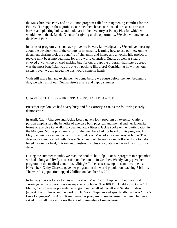the MS Christmas Party and an Al-anon program called "Strengthening Families for the Future." To support these projects, our members have coordinated the sales of frozen berries and planting bulbs, and took part in the inventory at Pantry Plus for which we would like to thank Lynda Chenier for giving us the opportunity. We also volunteered at the Navan Fair.

In terms of programs, sisters have proven to be very knowledgeable. We enjoyed hearing about the development of the colours of friendship, learning how to use our new online document sharing tool, the benefits of cinnamon and honey and a worthwhile project to recycle milk bags into bed mats for third world countries. Guests as well as sisters enjoyed a workshop on card making but, for our group, the program that sisters agreed was the most beneficial was the one on packing like a pro! Considering how much our sisters travel, we all agreed the tips would come in handy!

With still more fun and excitement to come before we pause before the next beginning day, we wish all of our Ottawa sisters a safe and happy summer!

#### CHAPTER CHATTER – PRECEPTOR EPSILON ETA – 2011

Preceptor Epsilon Eta had a very busy and fun Sorority Year, as the following clearly demonstrates.

In April, Cathy Charette and Jackie Leury gave a joint program on exercise. Cathy's portion emphasized the benefits of exercise both physical and mental and her favourite forms of exercise i.e. walking, yoga and aqua fitness. Jackie spoke on her participation in the Margaret Morris program. Most of the members had not heard of this program. In May, Jacquie Rawes welcomed us to a fondue on May 24 at Karen Graszat home. The delectable menu started with Caesar Salad and hot cheese fondue, followed by a tomato based fondue for beef, chicken and mushrooms plus chocolate fondue and fresh fruit for dessert.

During the summer months, we read the book "The Help". For our program in September we had a long and lively discussion on the book.. In October, Wendy Guay gave her program on the medical condition, "Shingles", the causes, symptoms and treatments. November: Cathy Charette gave her program on the world population reaching 7 billion. The world's population topped 7 billion on October 31, 2011.

In January, Jackie Leury told us a little about May Court Hospice. In February, Pat Turner gave the program on a newspaper article on "The 100 Top Children's Books". In March, Carol Streeter presented a program on behalf of herself and Sandra Lindsay (absent due to illness) on the work of Dr. Gary Chapman and specifically his book "The 5 Love Languages". In April, Karen gave her program on menopause. Each member was asked to list all the symptoms they could remember of menopause.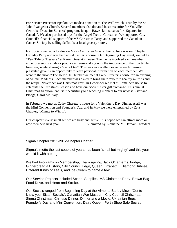For Service Preceptor Epsilon Eta made a donation to The Well which is run by the St John Evangelist Church. Several members also donated business attire for Youville Centre's "Dress for Success" program. Jacquie Rawes knit squares for "Squares for Canada". We also purchased toys for the Angel Tree at Christmas. We supported City Council's financial support of the MS Christmas Party, and supported the Canadian Cancer Society by selling daffodils at local grocery stores.

For Socials we had a fondue on May 24 at Karen Graszat home. June was our Chapter Birthday Party and was held at Pat Turner's house. Our Beginning Day event, we held a "Tea, Tale or Treasure" at Karen Graszat's house. The theme involved each member either presenting a tale or produce a treasure along with the importance of their particular treasurer, while sharing a "cup of tea". This was an excellent event as each treasure presented gave us an opportunity to learn personal information on each member. We went to the movie"The Help". In October we met at Carol Streeter's house for an evening of Muffin Madness. Each member was asked to bring their favourite healthy muffins and the recipe. November was Christmas craft. In December we met at Romaine's house to celebrate the Christmas Season and have our Secret Sister gift exchange. This annual Christmas tradition lent itself beautifully to a teaching moment to our newest Sister and Pledge, Carol McEvoy.

In February we met at Cathy Charette's house for a Valentine's Day Dinner. April was the Mini Convention and Founder's Day, and in May we were entertained by Zeta Chapter, "Minute to Win It".

Our chapter is very small but we are busy and active. It is hoped we can attract more or new members next year. Submitted by: Romaine M. Derhak, President

Sigma Chapter 2011-2012-Chapter Chatter

Sigma's motto the last couple of years has been "small but mighty" and this year we did it with a bang!!

We had Programs on Membership, Thanksgiving, Jack O'Lanterns, Fudge, Gingerbread a History, City Council, Lego, Queen Elizabeth II Diamond Jubilee, Different Kinds of Tea's, and Ice Cream to name a few.

Our Service Projects included School Supplies, MS Christmas Party, Brown Bag Food Drive, and Heart and Stroke.

Our Socials ranged from Beginning Day at the Almonte Barley Mow, "Get to know your Sister Socials", Canadian War Museum, City Council Christmas, Sigma Christmas, Chinese Dinner, Dinner and a Movie, Ukrainian Eggs, Founder's Day and Mini Convention, Dairy Queen, Perth Shoe Sale Social,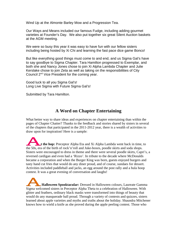Wind Up at the Almonte Barley Mow and a Progression Tea.

Our Ways and Means included our famous Fudge, including adding gourmet varieties at Founder's Day. We also put together six great Silent Auction baskets at the AGM meeting.

We were so busy this year it was easy to have fun with our fellow sisters including being hosted by Xi Chi and learning the fast pace dice game Bonco!

But like everything good things must come to and end, and us Sigma Gal's have to say goodbye to Sigma Chapter. Tara Hamilton progressed to Exemplar, and both she and Nancy Jones chose to join Xi Alpha Lambda Chapter and Julie Kerslake chose to join Zeta as well as taking on the responsibilities of City Council 2nd Vice President for the coming year.

Good luck to all you Sigma Gal's! Long Live Sigma with Future Sigma Gal's!

Submitted by Tara Hamilton.

#### **A Word on Chapter Entertaining**

What better way to share ideas and experiences on chapter entertaining than within the pages of Chapter Chatter? Thanks to the feedback and stories shared by sisters in several of the chapters that participated in the 2011-2012 year, there is a wealth of activities to draw upon for inspiration! Here is a sample:

**t the hop:** Preceptor Alpha Eta and Xi Alpha Lambda went back in time, to the 50s, era of the birth of rock'n'roll and Juke-boxes, poodle skirts and soda shops. Sisters were encouraged to dress in theme and there were several poodle skirts, Capri's, a reversed cardigan and even had a 'Rizzo'. In tribute to the decade where McDonalds became a corporation and when the Burger King was born, guests enjoyed burgers and tasty hand cut fries that would do any diner proud, and of course, sundaes for dessert. Activities included paddleball and jacks, an egg around the post rally and a hula hoop contest. It was a great evening of conversation and laughs!

 **Halloween Spooktacular:** Dressed in Halloween colours, Laureate Gamma Sigma welcomed sisters in Preceptor Alpha Theta to a celebration of Halloween. With glitter and feathers, ordinary black masks were transformed into things of beauty that would do any masquerade ball proud. Through a variety of contests and quizzes, sisters learned about apple varieties and myths and truths about the holiday. Shaundra Mitchener knows how to wield a knife as she proved during the apple peeling contest. Those who